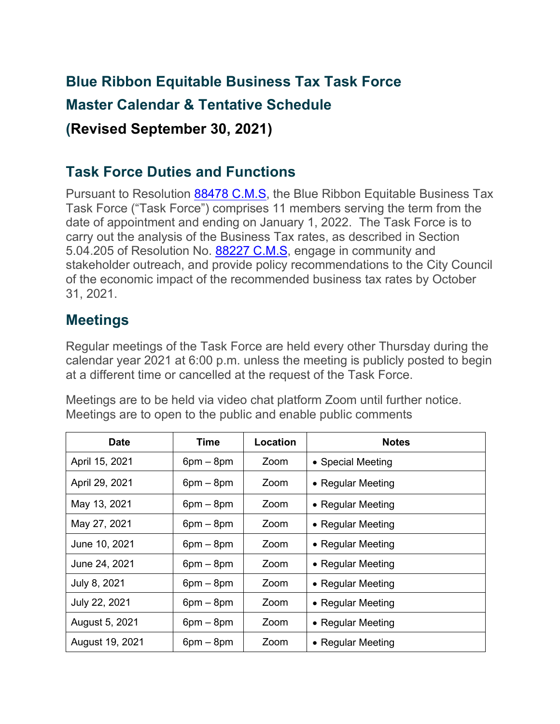## **Blue Ribbon Equitable Business Tax Task Force Master Calendar & Tentative Schedule (Revised September 30, 2021)**

## **Task Force Duties and Functions**

Pursuant to Resolution [88478 C.M.S,](https://oakland.legistar.com/LegislationDetail.aspx?ID=4746758&GUID=646B0F87-82D0-461F-BEA6-2E31F83D00FA&Options=&Search=) the Blue Ribbon Equitable Business Tax Task Force ("Task Force") comprises 11 members serving the term from the date of appointment and ending on January 1, 2022. The Task Force is to carry out the analysis of the Business Tax rates, as described in Section 5.04.205 of Resolution No. [88227 C.M.S,](https://oakland.legistar.com/LegislationDetail.aspx?ID=4575259&GUID=04127B82-3604-47C3-AC82-B32205190AB5&Options=&Search=) engage in community and stakeholder outreach, and provide policy recommendations to the City Council of the economic impact of the recommended business tax rates by October 31, 2021.

## **Meetings**

Regular meetings of the Task Force are held every other Thursday during the calendar year 2021 at 6:00 p.m. unless the meeting is publicly posted to begin at a different time or cancelled at the request of the Task Force.

Meetings are to be held via video chat platform Zoom until further notice. Meetings are to open to the public and enable public comments

| <b>Date</b>     | Time        | Location | <b>Notes</b>      |
|-----------------|-------------|----------|-------------------|
| April 15, 2021  | $6pm - 8pm$ | Zoom     | • Special Meeting |
| April 29, 2021  | $6pm - 8pm$ | Zoom     | • Regular Meeting |
| May 13, 2021    | $6pm - 8pm$ | Zoom     | • Regular Meeting |
| May 27, 2021    | $6pm - 8pm$ | Zoom     | • Regular Meeting |
| June 10, 2021   | $6pm - 8pm$ | Zoom     | • Regular Meeting |
| June 24, 2021   | $6pm - 8pm$ | Zoom     | • Regular Meeting |
| July 8, 2021    | $6pm - 8pm$ | Zoom     | • Regular Meeting |
| July 22, 2021   | $6pm - 8pm$ | Zoom     | • Regular Meeting |
| August 5, 2021  | $6pm - 8pm$ | Zoom     | • Regular Meeting |
| August 19, 2021 | $6pm - 8pm$ | Zoom     | • Regular Meeting |